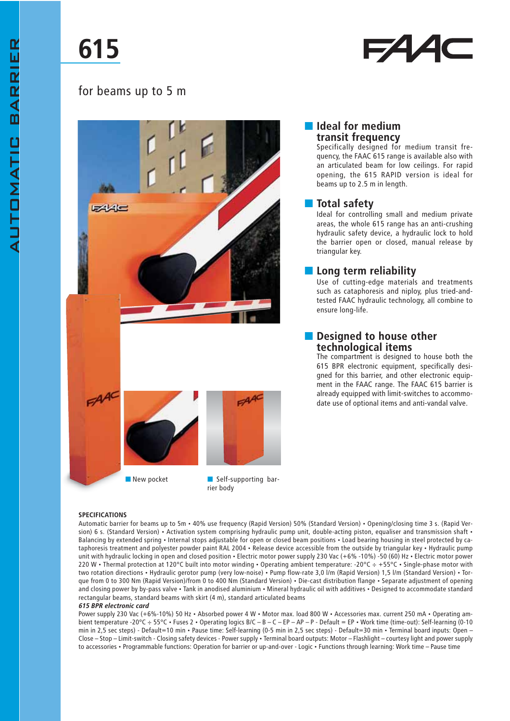# 615

# 54 A



■ New pocket ■ Self-supporting barrier body

#### ■ Ideal for medium transit frequency

Specifically designed for medium transit frequency, the FAAC 615 range is available also with an articulated beam for low ceilings. For rapid opening, the 615 RAPID version is ideal for beams up to 2.5 m in length.

## ■ Total safety

Ideal for controlling small and medium private areas, the whole 615 range has an anti-crushing hydraulic safety device, a hydraulic lock to hold the barrier open or closed, manual release by triangular key.

### ■ Long term reliability

Use of cutting-edge materials and treatments such as cataphoresis and niploy, plus tried-andtested FAAC hydraulic technology, all combine to ensure long-life.

#### ■ Designed to house other technological items

The compartment is designed to house both the 615 BPR electronic equipment, specifically designed for this barrier, and other electronic equipment in the FAAC range. The FAAC 615 barrier is already equipped with limit-switches to accommodate use of optional items and anti-vandal valve.

#### **SPECIFICATIONS**

Automatic barrier for beams up to 5m • 40% use frequency (Rapid Version) 50% (Standard Version) • Opening/closing time 3 s. (Rapid Version) 6 s. (Standard Version) • Activation system comprising hydraulic pump unit, double-acting piston, equaliser and transmission shaft • Balancing by extended spring • Internal stops adjustable for open or closed beam positions • Load bearing housing in steel protected by cataphoresis treatment and polyester powder paint RAL 2004 • Release device accessible from the outside by triangular key • Hydraulic pump unit with hydraulic locking in open and closed position • Electric motor power supply 230 Vac (+6% -10%) -50 (60) Hz • Electric motor power 220 W • Thermal protection at 120°C built into motor winding • Operating ambient temperature: -20°C ÷ +55°C • Single-phase motor with two rotation directions • Hydraulic gerotor pump (very low-noise) • Pump flow-rate 3,0 l/m (Rapid Version) 1,5 l/m (Standard Version) • Torque from 0 to 300 Nm (Rapid Version)/from 0 to 400 Nm (Standard Version) • Die-cast distribution flange • Separate adjustment of opening and closing power by by-pass valve • Tank in anodised aluminium • Mineral hydraulic oil with additives • Designed to accommodate standard rectangular beams, standard beams with skirt (4 m), standard articulated beams

#### 615 BPR electronic card

Power supply 230 Vac (+6%-10%) 50 Hz · Absorbed power 4 W · Motor max. load 800 W · Accessories max. current 250 mA · Operating ambient temperature -20°C ÷ 55°C • Fuses 2 • Operating logics B/C – B – C – EP – AP – P - Default = EP • Work time (time-out): Self-learning (0-10 min in 2,5 sec steps) - Default=10 min · Pause time: Self-learning (0-5 min in 2,5 sec steps) - Default=30 min · Terminal board inputs: Open -Close – Stop – Limit-switch - Closing safety devices - Power supply • Terminal board outputs: Motor – Flashlight – courtesy light and power supply to accessories • Programmable functions: Operation for barrier or up-and-over - Logic • Functions through learning: Work time – Pause time